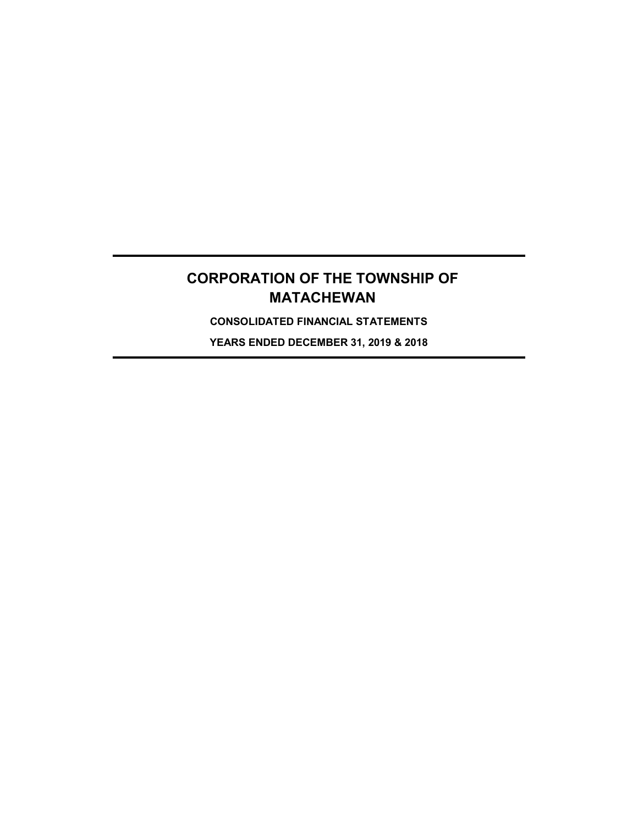**CONSOLIDATED FINANCIAL STATEMENTS**

**YEARS ENDED DECEMBER 31, 2019 & 2018**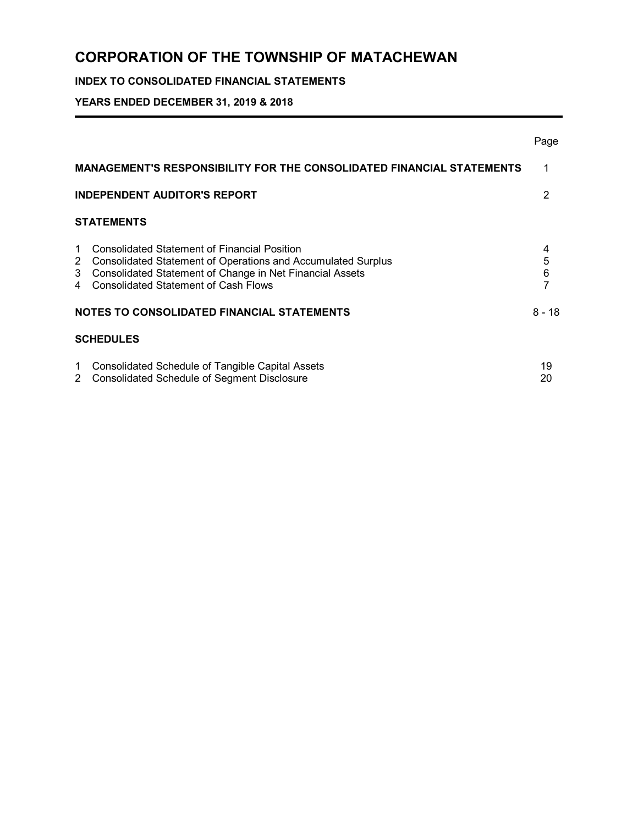## **INDEX TO CONSOLIDATED FINANCIAL STATEMENTS**

**YEARS ENDED DECEMBER 31, 2019 & 2018**

|                     |                                                                                                                                                                                                                                    | Page             |
|---------------------|------------------------------------------------------------------------------------------------------------------------------------------------------------------------------------------------------------------------------------|------------------|
|                     | <b>MANAGEMENT'S RESPONSIBILITY FOR THE CONSOLIDATED FINANCIAL STATEMENTS</b>                                                                                                                                                       | 1                |
|                     | <b>INDEPENDENT AUDITOR'S REPORT</b>                                                                                                                                                                                                | 2                |
|                     | <b>STATEMENTS</b>                                                                                                                                                                                                                  |                  |
| 1<br>$\overline{4}$ | <b>Consolidated Statement of Financial Position</b><br>2 Consolidated Statement of Operations and Accumulated Surplus<br>3 Consolidated Statement of Change in Net Financial Assets<br><b>Consolidated Statement of Cash Flows</b> | 4<br>5<br>6<br>7 |
|                     | NOTES TO CONSOLIDATED FINANCIAL STATEMENTS                                                                                                                                                                                         | $8 - 18$         |
|                     | <b>SCHEDULES</b>                                                                                                                                                                                                                   |                  |
| $\mathbf{1}$        | <b>Consolidated Schedule of Tangible Capital Assets</b><br>2 Consolidated Schedule of Segment Disclosure                                                                                                                           | 19<br>20         |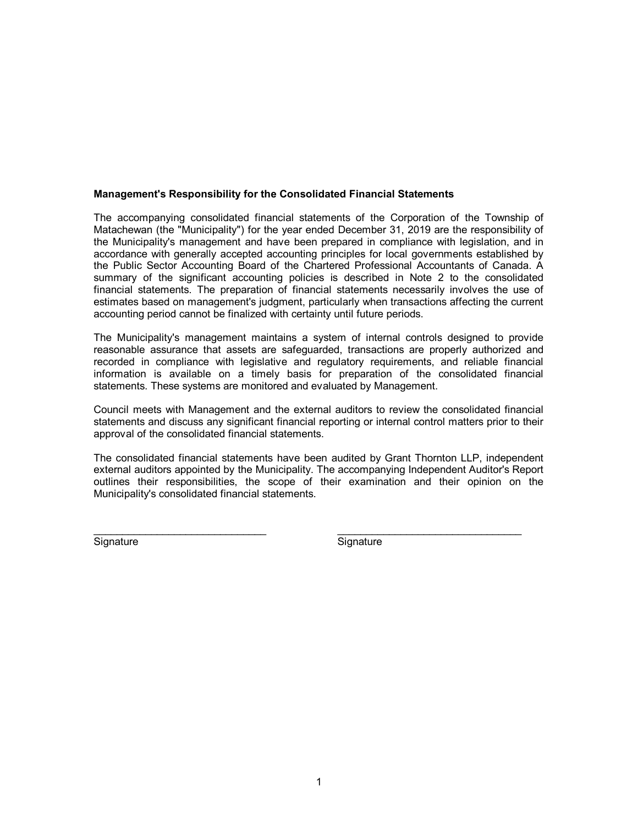#### **Management's Responsibility for the Consolidated Financial Statements**

The accompanying consolidated financial statements of the Corporation of the Township of Matachewan (the "Municipality") for the year ended December 31, 2019 are the responsibility of the Municipality's management and have been prepared in compliance with legislation, and in accordance with generally accepted accounting principles for local governments established by the Public Sector Accounting Board of the Chartered Professional Accountants of Canada. A summary of the significant accounting policies is described in Note 2 to the consolidated financial statements. The preparation of financial statements necessarily involves the use of estimates based on management's judgment, particularly when transactions affecting the current accounting period cannot be finalized with certainty until future periods.

The Municipality's management maintains a system of internal controls designed to provide reasonable assurance that assets are safeguarded, transactions are properly authorized and recorded in compliance with legislative and regulatory requirements, and reliable financial information is available on a timely basis for preparation of the consolidated financial statements. These systems are monitored and evaluated by Management.

Council meets with Management and the external auditors to review the consolidated financial statements and discuss any significant financial reporting or internal control matters prior to their approval of the consolidated financial statements.

The consolidated financial statements have been audited by Grant Thornton LLP, independent external auditors appointed by the Municipality. The accompanying Independent Auditor's Report outlines their responsibilities, the scope of their examination and their opinion on the Municipality's consolidated financial statements.

Signature Signature Signature Signature Signature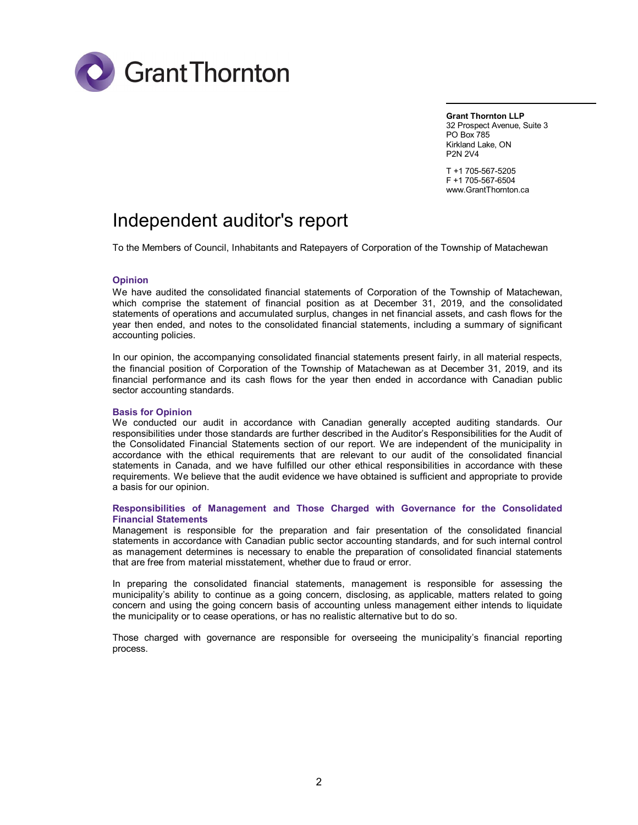

**Grant Thornton LLP** 32 Prospect Avenue, Suite 3 PO Box 785 Kirkland Lake, ON P2N 2V4

T +1 705-567-5205 F +1 705-567-6504 www.GrantThornton.ca

# Independent auditor's report

To the Members of Council, Inhabitants and Ratepayers of Corporation of the Township of Matachewan

#### **Opinion**

We have audited the consolidated financial statements of Corporation of the Township of Matachewan, which comprise the statement of financial position as at December 31, 2019, and the consolidated statements of operations and accumulated surplus, changes in net financial assets, and cash flows for the year then ended, and notes to the consolidated financial statements, including a summary of significant accounting policies.

In our opinion, the accompanying consolidated financial statements present fairly, in all material respects, the financial position of Corporation of the Township of Matachewan as at December 31, 2019, and its financial performance and its cash flows for the year then ended in accordance with Canadian public sector accounting standards.

#### **Basis for Opinion**

We conducted our audit in accordance with Canadian generally accepted auditing standards. Our responsibilities under those standards are further described in the Auditor's Responsibilities for the Audit of the Consolidated Financial Statements section of our report. We are independent of the municipality in accordance with the ethical requirements that are relevant to our audit of the consolidated financial statements in Canada, and we have fulfilled our other ethical responsibilities in accordance with these requirements. We believe that the audit evidence we have obtained is sufficient and appropriate to provide a basis for our opinion.

#### **Responsibilities of Management and Those Charged with Governance for the Consolidated Financial Statements**

Management is responsible for the preparation and fair presentation of the consolidated financial statements in accordance with Canadian public sector accounting standards, and for such internal control as management determines is necessary to enable the preparation of consolidated financial statements that are free from material misstatement, whether due to fraud or error.

In preparing the consolidated financial statements, management is responsible for assessing the municipality's ability to continue as a going concern, disclosing, as applicable, matters related to going concern and using the going concern basis of accounting unless management either intends to liquidate the municipality or to cease operations, or has no realistic alternative but to do so.

Those charged with governance are responsible for overseeing the municipality's financial reporting process.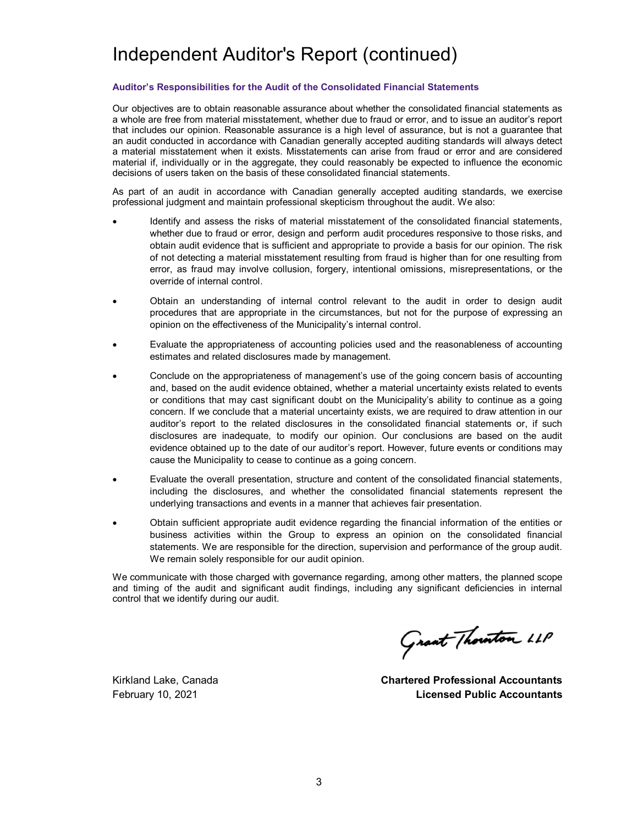# Independent Auditor's Report (continued)

#### **Auditor's Responsibilities for the Audit of the Consolidated Financial Statements**

Our objectives are to obtain reasonable assurance about whether the consolidated financial statements as a whole are free from material misstatement, whether due to fraud or error, and to issue an auditor's report that includes our opinion. Reasonable assurance is a high level of assurance, but is not a guarantee that an audit conducted in accordance with Canadian generally accepted auditing standards will always detect a material misstatement when it exists. Misstatements can arise from fraud or error and are considered material if, individually or in the aggregate, they could reasonably be expected to influence the economic decisions of users taken on the basis of these consolidated financial statements.

As part of an audit in accordance with Canadian generally accepted auditing standards, we exercise professional judgment and maintain professional skepticism throughout the audit. We also:

- Identify and assess the risks of material misstatement of the consolidated financial statements, whether due to fraud or error, design and perform audit procedures responsive to those risks, and obtain audit evidence that is sufficient and appropriate to provide a basis for our opinion. The risk of not detecting a material misstatement resulting from fraud is higher than for one resulting from error, as fraud may involve collusion, forgery, intentional omissions, misrepresentations, or the override of internal control.
- · Obtain an understanding of internal control relevant to the audit in order to design audit procedures that are appropriate in the circumstances, but not for the purpose of expressing an opinion on the effectiveness of the Municipality's internal control.
- · Evaluate the appropriateness of accounting policies used and the reasonableness of accounting estimates and related disclosures made by management.
- · Conclude on the appropriateness of management's use of the going concern basis of accounting and, based on the audit evidence obtained, whether a material uncertainty exists related to events or conditions that may cast significant doubt on the Municipality's ability to continue as a going concern. If we conclude that a material uncertainty exists, we are required to draw attention in our auditor's report to the related disclosures in the consolidated financial statements or, if such disclosures are inadequate, to modify our opinion. Our conclusions are based on the audit evidence obtained up to the date of our auditor's report. However, future events or conditions may cause the Municipality to cease to continue as a going concern.
- Evaluate the overall presentation, structure and content of the consolidated financial statements, including the disclosures, and whether the consolidated financial statements represent the underlying transactions and events in a manner that achieves fair presentation.
- · Obtain sufficient appropriate audit evidence regarding the financial information of the entities or business activities within the Group to express an opinion on the consolidated financial statements. We are responsible for the direction, supervision and performance of the group audit. We remain solely responsible for our audit opinion.

We communicate with those charged with governance regarding, among other matters, the planned scope and timing of the audit and significant audit findings, including any significant deficiencies in internal control that we identify during our audit.

Grant Thouton LLP

Kirkland Lake, Canada **Chartered Professional Accountants** February 10, 2021 **Licensed Public Accountants**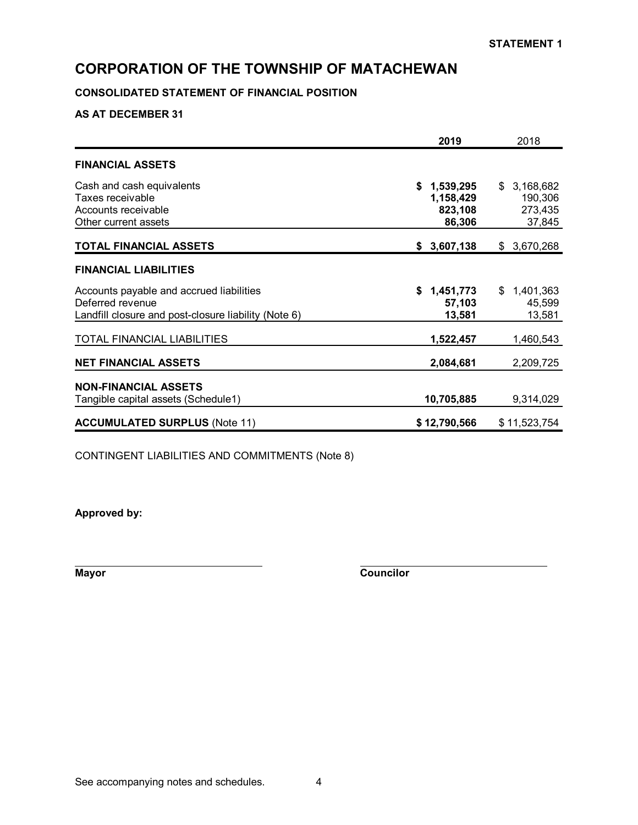## **CONSOLIDATED STATEMENT OF FINANCIAL POSITION**

#### **AS AT DECEMBER 31**

|                                                                                                                      | 2019                                              | 2018                                        |
|----------------------------------------------------------------------------------------------------------------------|---------------------------------------------------|---------------------------------------------|
| <b>FINANCIAL ASSETS</b>                                                                                              |                                                   |                                             |
| Cash and cash equivalents<br>Taxes receivable<br>Accounts receivable<br>Other current assets                         | 1,539,295<br>\$<br>1,158,429<br>823,108<br>86,306 | \$3,168,682<br>190,306<br>273,435<br>37,845 |
| TOTAL FINANCIAL ASSETS                                                                                               | 3,607,138<br>S.                                   | \$3,670,268                                 |
| <b>FINANCIAL LIABILITIES</b>                                                                                         |                                                   |                                             |
| Accounts payable and accrued liabilities<br>Deferred revenue<br>Landfill closure and post-closure liability (Note 6) | 1,451,773<br>S<br>57,103<br>13,581                | \$<br>1,401,363<br>45,599<br>13,581         |
| TOTAL FINANCIAL LIABILITIES                                                                                          | 1,522,457                                         | 1,460,543                                   |
| <b>NET FINANCIAL ASSETS</b>                                                                                          | 2,084,681                                         | 2,209,725                                   |
| <b>NON-FINANCIAL ASSETS</b><br>Tangible capital assets (Schedule1)                                                   | 10,705,885                                        | 9,314,029                                   |
| <b>ACCUMULATED SURPLUS (Note 11)</b>                                                                                 | \$12,790,566                                      | \$11,523,754                                |

CONTINGENT LIABILITIES AND COMMITMENTS (Note 8)

**Approved by:**

**Mayor Councilor**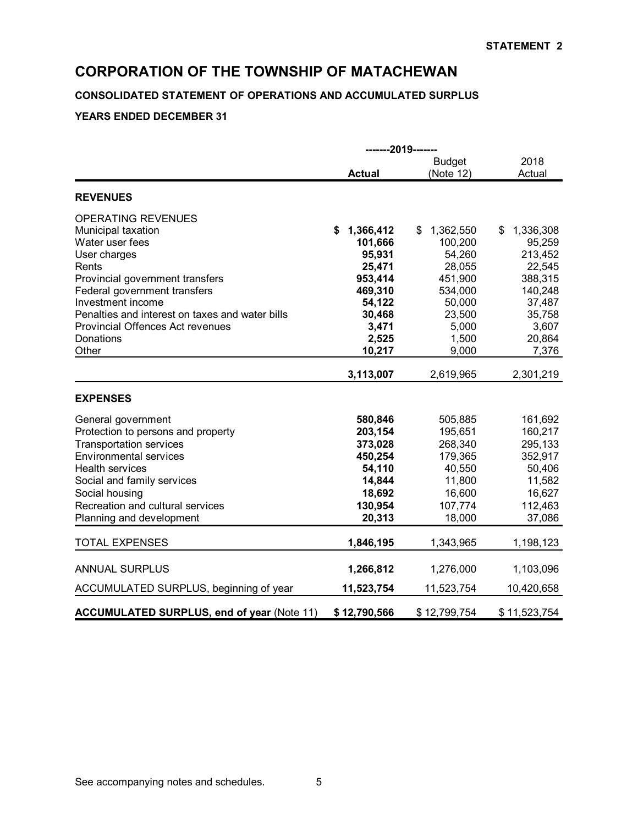## **CONSOLIDATED STATEMENT OF OPERATIONS AND ACCUMULATED SURPLUS**

## **YEARS ENDED DECEMBER 31**

|                                                   | -------2019------- |                 |                 |  |
|---------------------------------------------------|--------------------|-----------------|-----------------|--|
|                                                   |                    | <b>Budget</b>   | 2018            |  |
|                                                   | <b>Actual</b>      | (Note 12)       | Actual          |  |
| <b>REVENUES</b>                                   |                    |                 |                 |  |
| <b>OPERATING REVENUES</b>                         |                    |                 |                 |  |
| Municipal taxation                                | 1,366,412<br>\$    | 1,362,550<br>\$ | 1,336,308<br>\$ |  |
| Water user fees                                   | 101,666            | 100,200         | 95,259          |  |
| User charges                                      | 95,931             | 54,260          | 213,452         |  |
| Rents                                             | 25,471             | 28,055          | 22,545          |  |
| Provincial government transfers                   | 953,414            | 451,900         | 388,315         |  |
| Federal government transfers                      | 469,310            | 534,000         | 140,248         |  |
| Investment income                                 | 54,122             | 50,000          | 37,487          |  |
| Penalties and interest on taxes and water bills   | 30,468             | 23,500          | 35,758          |  |
| <b>Provincial Offences Act revenues</b>           | 3,471              | 5,000           | 3,607           |  |
| Donations                                         | 2,525              | 1,500           | 20,864          |  |
| Other                                             | 10,217             | 9,000           | 7,376           |  |
|                                                   | 3,113,007          | 2,619,965       | 2,301,219       |  |
| <b>EXPENSES</b>                                   |                    |                 |                 |  |
| General government                                | 580,846            | 505,885         | 161,692         |  |
| Protection to persons and property                | 203,154            | 195,651         | 160,217         |  |
| <b>Transportation services</b>                    | 373,028            | 268,340         | 295,133         |  |
| <b>Environmental services</b>                     | 450,254            | 179,365         | 352,917         |  |
| Health services                                   | 54,110             | 40,550          | 50,406          |  |
| Social and family services                        | 14,844             | 11,800          | 11,582          |  |
| Social housing                                    | 18,692             | 16,600          | 16,627          |  |
| Recreation and cultural services                  | 130,954            | 107,774         | 112,463         |  |
| Planning and development                          | 20,313             | 18,000          | 37,086          |  |
| <b>TOTAL EXPENSES</b>                             | 1,846,195          | 1,343,965       | 1,198,123       |  |
| <b>ANNUAL SURPLUS</b>                             | 1,266,812          | 1,276,000       | 1,103,096       |  |
| ACCUMULATED SURPLUS, beginning of year            | 11,523,754         | 11,523,754      | 10,420,658      |  |
|                                                   |                    |                 |                 |  |
| <b>ACCUMULATED SURPLUS, end of year (Note 11)</b> | \$12,790,566       | \$12,799,754    | \$11,523,754    |  |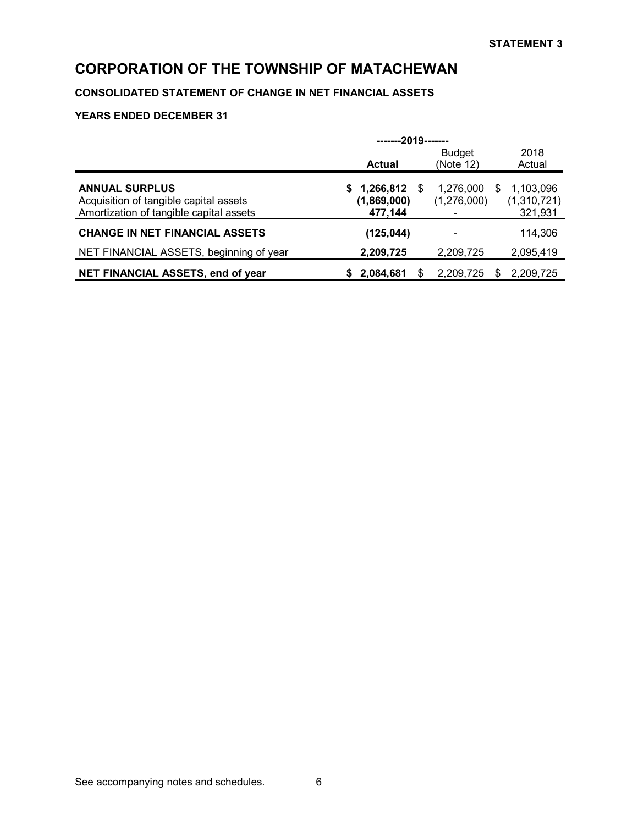## **CONSOLIDATED STATEMENT OF CHANGE IN NET FINANCIAL ASSETS**

## **YEARS ENDED DECEMBER 31**

|                                                                                                            | --------2019-                                  |                            |                                          |
|------------------------------------------------------------------------------------------------------------|------------------------------------------------|----------------------------|------------------------------------------|
|                                                                                                            | <b>Actual</b>                                  | <b>Budget</b><br>(Note 12) | 2018<br>Actual                           |
| <b>ANNUAL SURPLUS</b><br>Acquisition of tangible capital assets<br>Amortization of tangible capital assets | 1,266,812<br>S.<br>S<br>(1,869,000)<br>477,144 | 1,276,000<br>(1,276,000)   | 1,103,096<br>S<br>(1,310,721)<br>321,931 |
| <b>CHANGE IN NET FINANCIAL ASSETS</b>                                                                      | (125,044)                                      |                            | 114,306                                  |
| NET FINANCIAL ASSETS, beginning of year                                                                    | 2,209,725                                      | 2,209,725                  | 2,095,419                                |
| NET FINANCIAL ASSETS, end of year                                                                          | \$ 2,084,681                                   | 2,209,725                  | 2,209,725                                |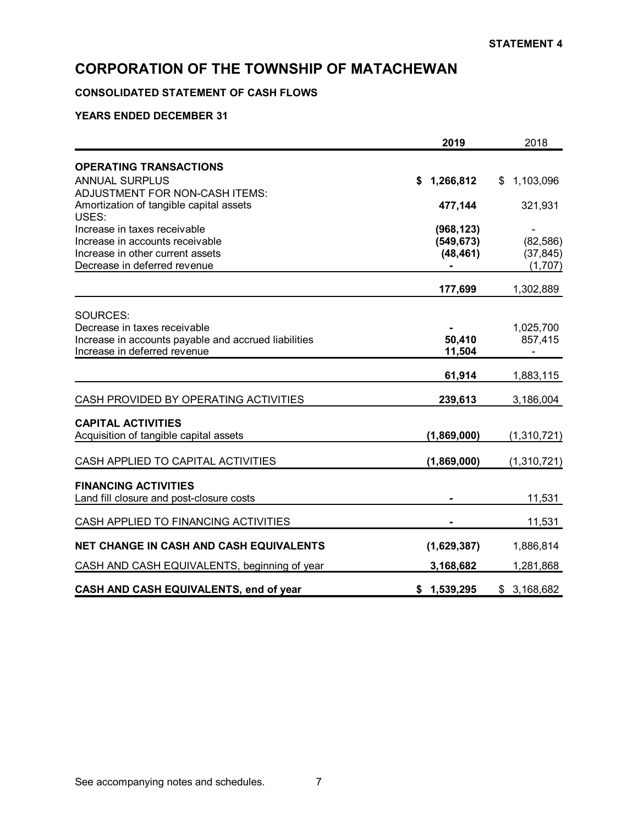## **CONSOLIDATED STATEMENT OF CASH FLOWS**

## **YEARS ENDED DECEMBER 31**

|                                                      | 2019            | 2018        |
|------------------------------------------------------|-----------------|-------------|
| <b>OPERATING TRANSACTIONS</b>                        |                 |             |
| <b>ANNUAL SURPLUS</b>                                | 1,266,812<br>\$ | \$1,103,096 |
| ADJUSTMENT FOR NON-CASH ITEMS:                       |                 |             |
| Amortization of tangible capital assets              | 477,144         | 321,931     |
| USES:                                                |                 |             |
| Increase in taxes receivable                         | (968, 123)      |             |
| Increase in accounts receivable                      | (549, 673)      | (82, 586)   |
| Increase in other current assets                     | (48, 461)       | (37, 845)   |
| Decrease in deferred revenue                         |                 | (1,707)     |
|                                                      | 177,699         | 1,302,889   |
| SOURCES:                                             |                 |             |
| Decrease in taxes receivable                         |                 | 1,025,700   |
| Increase in accounts payable and accrued liabilities | 50,410          | 857,415     |
| Increase in deferred revenue                         | 11,504          |             |
|                                                      | 61,914          | 1,883,115   |
| CASH PROVIDED BY OPERATING ACTIVITIES                | 239,613         | 3,186,004   |
|                                                      |                 |             |
| <b>CAPITAL ACTIVITIES</b>                            |                 |             |
| Acquisition of tangible capital assets               | (1,869,000)     | (1,310,721) |
| CASH APPLIED TO CAPITAL ACTIVITIES                   | (1,869,000)     | (1,310,721) |
| <b>FINANCING ACTIVITIES</b>                          |                 |             |
| Land fill closure and post-closure costs             |                 | 11,531      |
| CASH APPLIED TO FINANCING ACTIVITIES                 |                 | 11,531      |
| <b>NET CHANGE IN CASH AND CASH EQUIVALENTS</b>       | (1,629,387)     | 1,886,814   |
| CASH AND CASH EQUIVALENTS, beginning of year         | 3,168,682       | 1,281,868   |
|                                                      |                 |             |
| CASH AND CASH EQUIVALENTS, end of year               | 1,539,295<br>\$ | \$3,168,682 |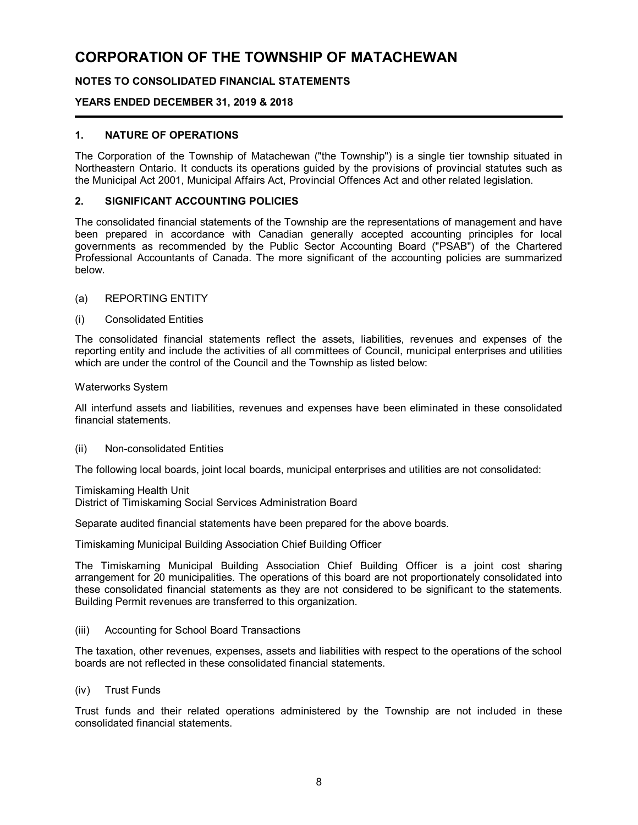## **NOTES TO CONSOLIDATED FINANCIAL STATEMENTS**

### **YEARS ENDED DECEMBER 31, 2019 & 2018**

### **1. NATURE OF OPERATIONS**

The Corporation of the Township of Matachewan ("the Township") is a single tier township situated in Northeastern Ontario. It conducts its operations guided by the provisions of provincial statutes such as the Municipal Act 2001, Municipal Affairs Act, Provincial Offences Act and other related legislation.

#### **2. SIGNIFICANT ACCOUNTING POLICIES**

The consolidated financial statements of the Township are the representations of management and have been prepared in accordance with Canadian generally accepted accounting principles for local governments as recommended by the Public Sector Accounting Board ("PSAB") of the Chartered Professional Accountants of Canada. The more significant of the accounting policies are summarized below.

#### (a) REPORTING ENTITY

#### (i) Consolidated Entities

The consolidated financial statements reflect the assets, liabilities, revenues and expenses of the reporting entity and include the activities of all committees of Council, municipal enterprises and utilities which are under the control of the Council and the Township as listed below:

#### Waterworks System

All interfund assets and liabilities, revenues and expenses have been eliminated in these consolidated financial statements.

#### (ii) Non-consolidated Entities

The following local boards, joint local boards, municipal enterprises and utilities are not consolidated:

Timiskaming Health Unit District of Timiskaming Social Services Administration Board

Separate audited financial statements have been prepared for the above boards.

Timiskaming Municipal Building Association Chief Building Officer

The Timiskaming Municipal Building Association Chief Building Officer is a joint cost sharing arrangement for 20 municipalities. The operations of this board are not proportionately consolidated into these consolidated financial statements as they are not considered to be significant to the statements. Building Permit revenues are transferred to this organization.

(iii) Accounting for School Board Transactions

The taxation, other revenues, expenses, assets and liabilities with respect to the operations of the school boards are not reflected in these consolidated financial statements.

(iv) Trust Funds

Trust funds and their related operations administered by the Township are not included in these consolidated financial statements.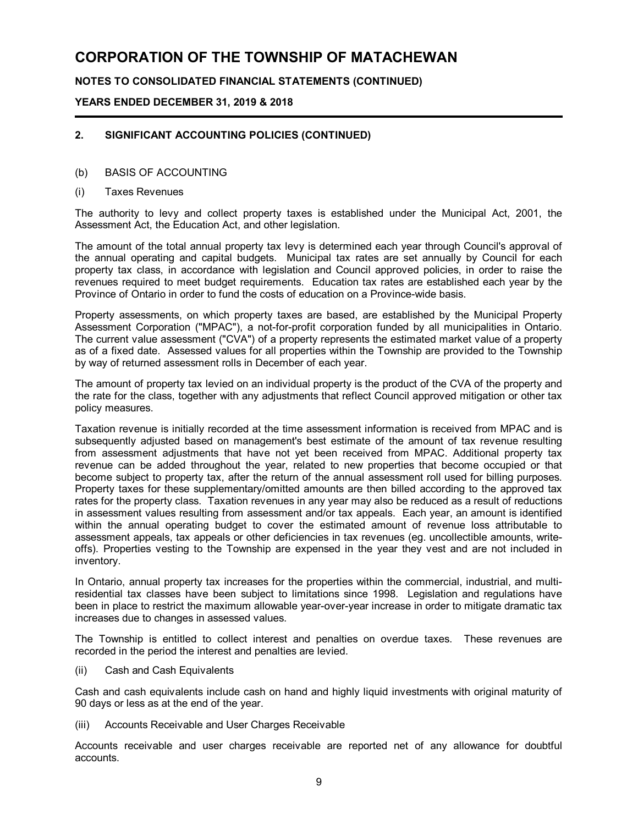## **NOTES TO CONSOLIDATED FINANCIAL STATEMENTS (CONTINUED)**

### **YEARS ENDED DECEMBER 31, 2019 & 2018**

### **2. SIGNIFICANT ACCOUNTING POLICIES (CONTINUED)**

#### (b) BASIS OF ACCOUNTING

#### (i) Taxes Revenues

The authority to levy and collect property taxes is established under the Municipal Act, 2001, the Assessment Act, the Education Act, and other legislation.

The amount of the total annual property tax levy is determined each year through Council's approval of the annual operating and capital budgets. Municipal tax rates are set annually by Council for each property tax class, in accordance with legislation and Council approved policies, in order to raise the revenues required to meet budget requirements. Education tax rates are established each year by the Province of Ontario in order to fund the costs of education on a Province-wide basis.

Property assessments, on which property taxes are based, are established by the Municipal Property Assessment Corporation ("MPAC"), a not-for-profit corporation funded by all municipalities in Ontario. The current value assessment ("CVA") of a property represents the estimated market value of a property as of a fixed date. Assessed values for all properties within the Township are provided to the Township by way of returned assessment rolls in December of each year.

The amount of property tax levied on an individual property is the product of the CVA of the property and the rate for the class, together with any adjustments that reflect Council approved mitigation or other tax policy measures.

Taxation revenue is initially recorded at the time assessment information is received from MPAC and is subsequently adjusted based on management's best estimate of the amount of tax revenue resulting from assessment adjustments that have not yet been received from MPAC. Additional property tax revenue can be added throughout the year, related to new properties that become occupied or that become subject to property tax, after the return of the annual assessment roll used for billing purposes. Property taxes for these supplementary/omitted amounts are then billed according to the approved tax rates for the property class. Taxation revenues in any year may also be reduced as a result of reductions in assessment values resulting from assessment and/or tax appeals. Each year, an amount is identified within the annual operating budget to cover the estimated amount of revenue loss attributable to assessment appeals, tax appeals or other deficiencies in tax revenues (eg. uncollectible amounts, writeoffs). Properties vesting to the Township are expensed in the year they vest and are not included in inventory.

In Ontario, annual property tax increases for the properties within the commercial, industrial, and multiresidential tax classes have been subject to limitations since 1998. Legislation and regulations have been in place to restrict the maximum allowable year-over-year increase in order to mitigate dramatic tax increases due to changes in assessed values.

The Township is entitled to collect interest and penalties on overdue taxes. These revenues are recorded in the period the interest and penalties are levied.

(ii) Cash and Cash Equivalents

Cash and cash equivalents include cash on hand and highly liquid investments with original maturity of 90 days or less as at the end of the year.

(iii) Accounts Receivable and User Charges Receivable

Accounts receivable and user charges receivable are reported net of any allowance for doubtful accounts.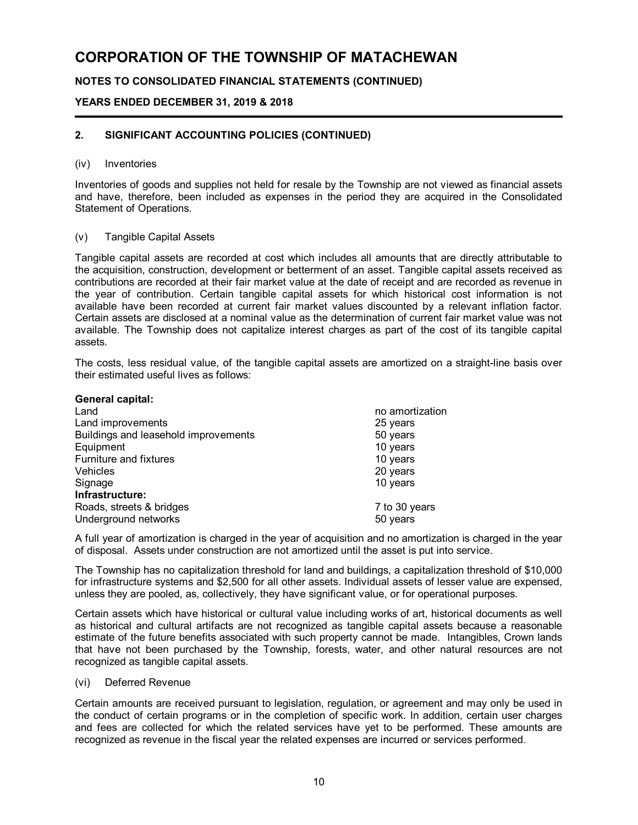## **NOTES TO CONSOLIDATED FINANCIAL STATEMENTS (CONTINUED)**

### **YEARS ENDED DECEMBER 31, 2019 & 2018**

## **2. SIGNIFICANT ACCOUNTING POLICIES (CONTINUED)**

#### (iv) Inventories

Inventories of goods and supplies not held for resale by the Township are not viewed as financial assets and have, therefore, been included as expenses in the period they are acquired in the Consolidated Statement of Operations.

#### (v) Tangible Capital Assets

Tangible capital assets are recorded at cost which includes all amounts that are directly attributable to the acquisition, construction, development or betterment of an asset. Tangible capital assets received as contributions are recorded at their fair market value at the date of receipt and are recorded as revenue in the year of contribution. Certain tangible capital assets for which historical cost information is not available have been recorded at current fair market values discounted by a relevant inflation factor. Certain assets are disclosed at a nominal value as the determination of current fair market value was not available. The Township does not capitalize interest charges as part of the cost of its tangible capital assets.

The costs, less residual value, of the tangible capital assets are amortized on a straight-line basis over their estimated useful lives as follows:

| <b>General capital:</b>              |                 |
|--------------------------------------|-----------------|
| Land                                 | no amortization |
| Land improvements                    | 25 years        |
| Buildings and leasehold improvements | 50 years        |
| Equipment                            | 10 years        |
| Furniture and fixtures               | 10 years        |
| Vehicles                             | 20 years        |
| Signage                              | 10 years        |
| Infrastructure:                      |                 |
| Roads, streets & bridges             | 7 to 30 years   |
| Underground networks                 | 50 years        |

A full year of amortization is charged in the year of acquisition and no amortization is charged in the year of disposal. Assets under construction are not amortized until the asset is put into service.

The Township has no capitalization threshold for land and buildings, a capitalization threshold of \$10,000 for infrastructure systems and \$2,500 for all other assets. Individual assets of lesser value are expensed, unless they are pooled, as, collectively, they have significant value, or for operational purposes.

Certain assets which have historical or cultural value including works of art, historical documents as well as historical and cultural artifacts are not recognized as tangible capital assets because a reasonable estimate of the future benefits associated with such property cannot be made. Intangibles, Crown lands that have not been purchased by the Township, forests, water, and other natural resources are not recognized as tangible capital assets.

### (vi) Deferred Revenue

Certain amounts are received pursuant to legislation, regulation, or agreement and may only be used in the conduct of certain programs or in the completion of specific work. In addition, certain user charges and fees are collected for which the related services have yet to be performed. These amounts are recognized as revenue in the fiscal year the related expenses are incurred or services performed.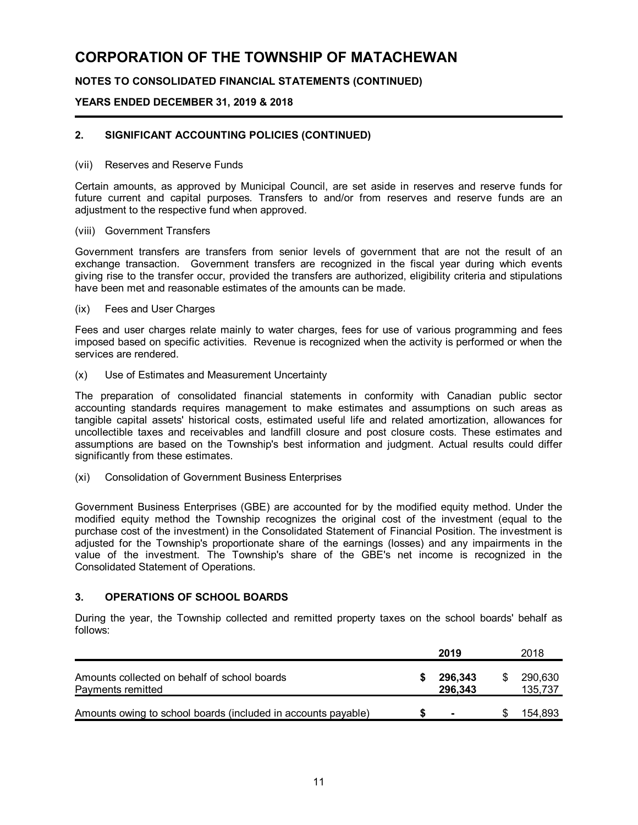## **NOTES TO CONSOLIDATED FINANCIAL STATEMENTS (CONTINUED)**

### **YEARS ENDED DECEMBER 31, 2019 & 2018**

### **2. SIGNIFICANT ACCOUNTING POLICIES (CONTINUED)**

#### (vii) Reserves and Reserve Funds

Certain amounts, as approved by Municipal Council, are set aside in reserves and reserve funds for future current and capital purposes. Transfers to and/or from reserves and reserve funds are an adjustment to the respective fund when approved.

#### (viii) Government Transfers

Government transfers are transfers from senior levels of government that are not the result of an exchange transaction. Government transfers are recognized in the fiscal year during which events giving rise to the transfer occur, provided the transfers are authorized, eligibility criteria and stipulations have been met and reasonable estimates of the amounts can be made.

#### (ix) Fees and User Charges

Fees and user charges relate mainly to water charges, fees for use of various programming and fees imposed based on specific activities. Revenue is recognized when the activity is performed or when the services are rendered.

(x) Use of Estimates and Measurement Uncertainty

The preparation of consolidated financial statements in conformity with Canadian public sector accounting standards requires management to make estimates and assumptions on such areas as tangible capital assets' historical costs, estimated useful life and related amortization, allowances for uncollectible taxes and receivables and landfill closure and post closure costs. These estimates and assumptions are based on the Township's best information and judgment. Actual results could differ significantly from these estimates.

(xi) Consolidation of Government Business Enterprises

Government Business Enterprises (GBE) are accounted for by the modified equity method. Under the modified equity method the Township recognizes the original cost of the investment (equal to the purchase cost of the investment) in the Consolidated Statement of Financial Position. The investment is adjusted for the Township's proportionate share of the earnings (losses) and any impairments in the value of the investment. The Township's share of the GBE's net income is recognized in the Consolidated Statement of Operations.

#### **3. OPERATIONS OF SCHOOL BOARDS**

During the year, the Township collected and remitted property taxes on the school boards' behalf as follows:

|                                                                   | 2019               | 2018               |
|-------------------------------------------------------------------|--------------------|--------------------|
| Amounts collected on behalf of school boards<br>Payments remitted | 296,343<br>296.343 | 290.630<br>135,737 |
| Amounts owing to school boards (included in accounts payable)     | $\blacksquare$     | 154,893            |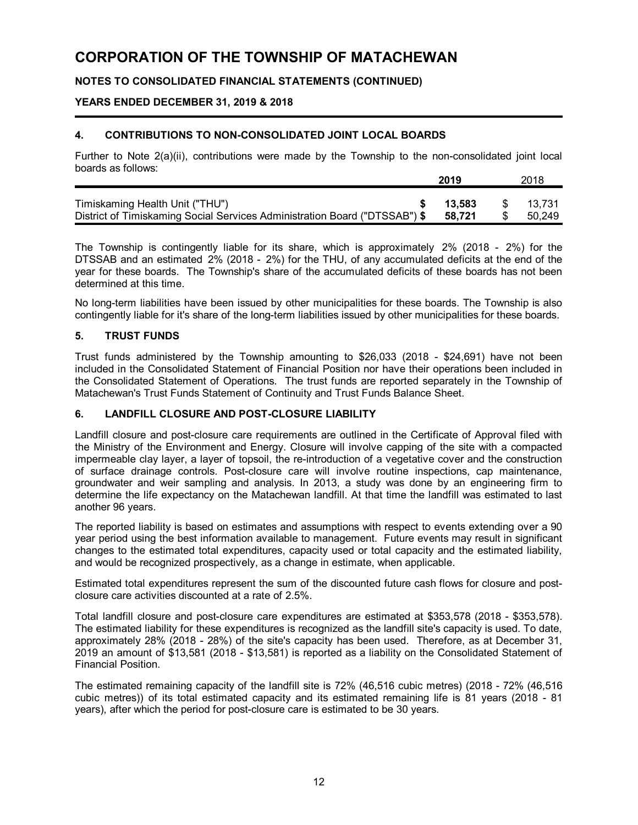## **NOTES TO CONSOLIDATED FINANCIAL STATEMENTS (CONTINUED)**

### **YEARS ENDED DECEMBER 31, 2019 & 2018**

## **4. CONTRIBUTIONS TO NON-CONSOLIDATED JOINT LOCAL BOARDS**

Further to Note 2(a)(ii), contributions were made by the Township to the non-consolidated joint local boards as follows:

|                                                                            | 2019   |     | 2018   |
|----------------------------------------------------------------------------|--------|-----|--------|
|                                                                            |        |     |        |
| Timiskaming Health Unit ("THU")                                            | 13.583 | -SS | 13.731 |
| District of Timiskaming Social Services Administration Board ("DTSSAB") \$ | 58.721 |     | 50.249 |

The Township is contingently liable for its share, which is approximately 2% (2018 - 2%) for the DTSSAB and an estimated 2% (2018 - 2%) for the THU, of any accumulated deficits at the end of the year for these boards. The Township's share of the accumulated deficits of these boards has not been determined at this time.

No long-term liabilities have been issued by other municipalities for these boards. The Township is also contingently liable for it's share of the long-term liabilities issued by other municipalities for these boards.

### **5. TRUST FUNDS**

Trust funds administered by the Township amounting to \$26,033 (2018 - \$24,691) have not been included in the Consolidated Statement of Financial Position nor have their operations been included in the Consolidated Statement of Operations. The trust funds are reported separately in the Township of Matachewan's Trust Funds Statement of Continuity and Trust Funds Balance Sheet.

#### **6. LANDFILL CLOSURE AND POST-CLOSURE LIABILITY**

Landfill closure and post-closure care requirements are outlined in the Certificate of Approval filed with the Ministry of the Environment and Energy. Closure will involve capping of the site with a compacted impermeable clay layer, a layer of topsoil, the re-introduction of a vegetative cover and the construction of surface drainage controls. Post-closure care will involve routine inspections, cap maintenance, groundwater and weir sampling and analysis. In 2013, a study was done by an engineering firm to determine the life expectancy on the Matachewan landfill. At that time the landfill was estimated to last another 96 years.

The reported liability is based on estimates and assumptions with respect to events extending over a 90 year period using the best information available to management. Future events may result in significant changes to the estimated total expenditures, capacity used or total capacity and the estimated liability, and would be recognized prospectively, as a change in estimate, when applicable.

Estimated total expenditures represent the sum of the discounted future cash flows for closure and postclosure care activities discounted at a rate of 2.5%.

Total landfill closure and post-closure care expenditures are estimated at \$353,578 (2018 - \$353,578). The estimated liability for these expenditures is recognized as the landfill site's capacity is used. To date, approximately 28% (2018 - 28%) of the site's capacity has been used. Therefore, as at December 31, 2019 an amount of \$13,581 (2018 - \$13,581) is reported as a liability on the Consolidated Statement of Financial Position.

The estimated remaining capacity of the landfill site is 72% (46,516 cubic metres) (2018 - 72% (46,516 cubic metres)) of its total estimated capacity and its estimated remaining life is 81 years (2018 - 81 years), after which the period for post-closure care is estimated to be 30 years.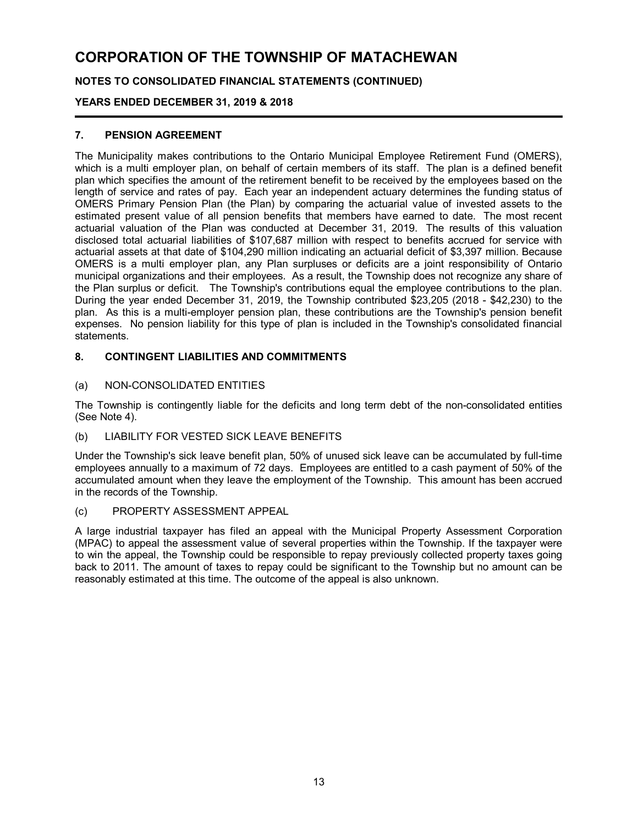## **NOTES TO CONSOLIDATED FINANCIAL STATEMENTS (CONTINUED)**

## **YEARS ENDED DECEMBER 31, 2019 & 2018**

### **7. PENSION AGREEMENT**

The Municipality makes contributions to the Ontario Municipal Employee Retirement Fund (OMERS), which is a multi employer plan, on behalf of certain members of its staff. The plan is a defined benefit plan which specifies the amount of the retirement benefit to be received by the employees based on the length of service and rates of pay. Each year an independent actuary determines the funding status of OMERS Primary Pension Plan (the Plan) by comparing the actuarial value of invested assets to the estimated present value of all pension benefits that members have earned to date. The most recent actuarial valuation of the Plan was conducted at December 31, 2019. The results of this valuation disclosed total actuarial liabilities of \$107,687 million with respect to benefits accrued for service with actuarial assets at that date of \$104,290 million indicating an actuarial deficit of \$3,397 million. Because OMERS is a multi employer plan, any Plan surpluses or deficits are a joint responsibility of Ontario municipal organizations and their employees. As a result, the Township does not recognize any share of the Plan surplus or deficit. The Township's contributions equal the employee contributions to the plan. During the year ended December 31, 2019, the Township contributed \$23,205 (2018 - \$42,230) to the plan. As this is a multi-employer pension plan, these contributions are the Township's pension benefit expenses. No pension liability for this type of plan is included in the Township's consolidated financial statements.

## **8. CONTINGENT LIABILITIES AND COMMITMENTS**

## (a) NON-CONSOLIDATED ENTITIES

The Township is contingently liable for the deficits and long term debt of the non-consolidated entities (See Note 4).

### (b) LIABILITY FOR VESTED SICK LEAVE BENEFITS

Under the Township's sick leave benefit plan, 50% of unused sick leave can be accumulated by full-time employees annually to a maximum of 72 days. Employees are entitled to a cash payment of 50% of the accumulated amount when they leave the employment of the Township. This amount has been accrued in the records of the Township.

### (c) PROPERTY ASSESSMENT APPEAL

A large industrial taxpayer has filed an appeal with the Municipal Property Assessment Corporation (MPAC) to appeal the assessment value of several properties within the Township. If the taxpayer were to win the appeal, the Township could be responsible to repay previously collected property taxes going back to 2011. The amount of taxes to repay could be significant to the Township but no amount can be reasonably estimated at this time. The outcome of the appeal is also unknown.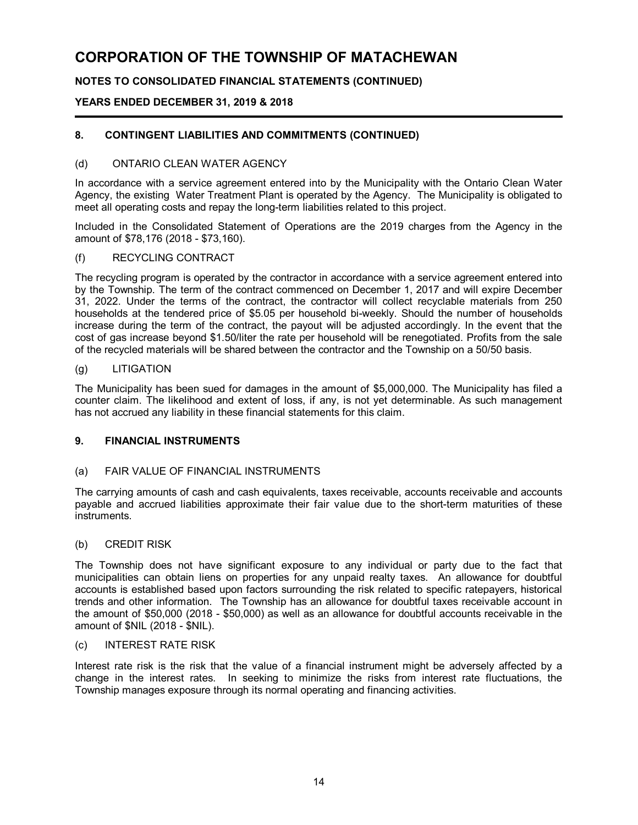## **NOTES TO CONSOLIDATED FINANCIAL STATEMENTS (CONTINUED)**

### **YEARS ENDED DECEMBER 31, 2019 & 2018**

## **8. CONTINGENT LIABILITIES AND COMMITMENTS (CONTINUED)**

### (d) ONTARIO CLEAN WATER AGENCY

In accordance with a service agreement entered into by the Municipality with the Ontario Clean Water Agency, the existing Water Treatment Plant is operated by the Agency. The Municipality is obligated to meet all operating costs and repay the long-term liabilities related to this project.

Included in the Consolidated Statement of Operations are the 2019 charges from the Agency in the amount of \$78,176 (2018 - \$73,160).

#### (f) RECYCLING CONTRACT

The recycling program is operated by the contractor in accordance with a service agreement entered into by the Township. The term of the contract commenced on December 1, 2017 and will expire December 31, 2022. Under the terms of the contract, the contractor will collect recyclable materials from 250 households at the tendered price of \$5.05 per household bi-weekly. Should the number of households increase during the term of the contract, the payout will be adjusted accordingly. In the event that the cost of gas increase beyond \$1.50/liter the rate per household will be renegotiated. Profits from the sale of the recycled materials will be shared between the contractor and the Township on a 50/50 basis.

#### (g) LITIGATION

The Municipality has been sued for damages in the amount of \$5,000,000. The Municipality has filed a counter claim. The likelihood and extent of loss, if any, is not yet determinable. As such management has not accrued any liability in these financial statements for this claim.

#### **9. FINANCIAL INSTRUMENTS**

#### (a) FAIR VALUE OF FINANCIAL INSTRUMENTS

The carrying amounts of cash and cash equivalents, taxes receivable, accounts receivable and accounts payable and accrued liabilities approximate their fair value due to the short-term maturities of these instruments.

#### (b) CREDIT RISK

The Township does not have significant exposure to any individual or party due to the fact that municipalities can obtain liens on properties for any unpaid realty taxes. An allowance for doubtful accounts is established based upon factors surrounding the risk related to specific ratepayers, historical trends and other information. The Township has an allowance for doubtful taxes receivable account in the amount of \$50,000 (2018 - \$50,000) as well as an allowance for doubtful accounts receivable in the amount of \$NIL (2018 - \$NIL).

#### (c) INTEREST RATE RISK

Interest rate risk is the risk that the value of a financial instrument might be adversely affected by a change in the interest rates. In seeking to minimize the risks from interest rate fluctuations, the Township manages exposure through its normal operating and financing activities.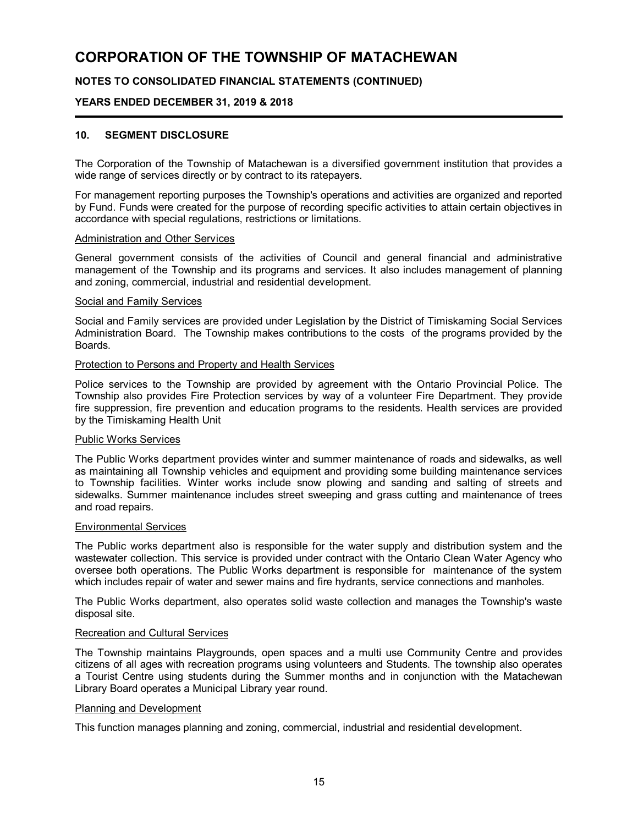## **NOTES TO CONSOLIDATED FINANCIAL STATEMENTS (CONTINUED)**

### **YEARS ENDED DECEMBER 31, 2019 & 2018**

### **10. SEGMENT DISCLOSURE**

The Corporation of the Township of Matachewan is a diversified government institution that provides a wide range of services directly or by contract to its ratepayers.

For management reporting purposes the Township's operations and activities are organized and reported by Fund. Funds were created for the purpose of recording specific activities to attain certain objectives in accordance with special regulations, restrictions or limitations.

#### Administration and Other Services

General government consists of the activities of Council and general financial and administrative management of the Township and its programs and services. It also includes management of planning and zoning, commercial, industrial and residential development.

#### Social and Family Services

Social and Family services are provided under Legislation by the District of Timiskaming Social Services Administration Board. The Township makes contributions to the costs of the programs provided by the **Boards** 

#### Protection to Persons and Property and Health Services

Police services to the Township are provided by agreement with the Ontario Provincial Police. The Township also provides Fire Protection services by way of a volunteer Fire Department. They provide fire suppression, fire prevention and education programs to the residents. Health services are provided by the Timiskaming Health Unit

#### Public Works Services

The Public Works department provides winter and summer maintenance of roads and sidewalks, as well as maintaining all Township vehicles and equipment and providing some building maintenance services to Township facilities. Winter works include snow plowing and sanding and salting of streets and sidewalks. Summer maintenance includes street sweeping and grass cutting and maintenance of trees and road repairs.

#### Environmental Services

The Public works department also is responsible for the water supply and distribution system and the wastewater collection. This service is provided under contract with the Ontario Clean Water Agency who oversee both operations. The Public Works department is responsible for maintenance of the system which includes repair of water and sewer mains and fire hydrants, service connections and manholes.

The Public Works department, also operates solid waste collection and manages the Township's waste disposal site.

#### Recreation and Cultural Services

The Township maintains Playgrounds, open spaces and a multi use Community Centre and provides citizens of all ages with recreation programs using volunteers and Students. The township also operates a Tourist Centre using students during the Summer months and in conjunction with the Matachewan Library Board operates a Municipal Library year round.

#### Planning and Development

This function manages planning and zoning, commercial, industrial and residential development.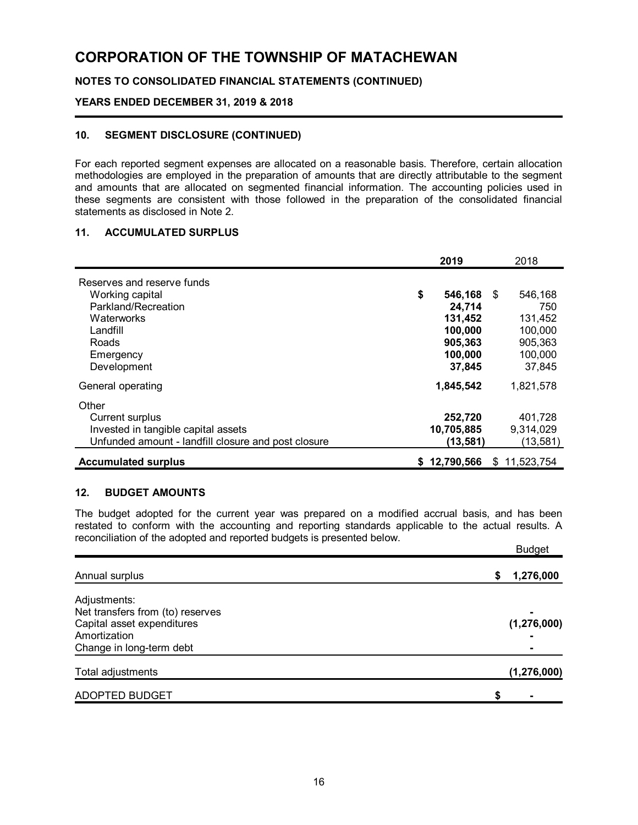### **NOTES TO CONSOLIDATED FINANCIAL STATEMENTS (CONTINUED)**

### **YEARS ENDED DECEMBER 31, 2019 & 2018**

### **10. SEGMENT DISCLOSURE (CONTINUED)**

For each reported segment expenses are allocated on a reasonable basis. Therefore, certain allocation methodologies are employed in the preparation of amounts that are directly attributable to the segment and amounts that are allocated on segmented financial information. The accounting policies used in these segments are consistent with those followed in the preparation of the consolidated financial statements as disclosed in Note 2.

#### **11. ACCUMULATED SURPLUS**

|                                                                                                                        |    | 2019                                               | 2018                                               |
|------------------------------------------------------------------------------------------------------------------------|----|----------------------------------------------------|----------------------------------------------------|
| Reserves and reserve funds<br>Working capital<br>Parkland/Recreation                                                   | \$ | 546,168 \$<br>24,714                               | 546,168<br>750                                     |
| Waterworks<br>Landfill<br>Roads<br>Emergency<br>Development                                                            |    | 131.452<br>100,000<br>905,363<br>100,000<br>37,845 | 131,452<br>100,000<br>905,363<br>100,000<br>37,845 |
| General operating                                                                                                      |    | 1,845,542                                          | 1,821,578                                          |
| Other<br>Current surplus<br>Invested in tangible capital assets<br>Unfunded amount - landfill closure and post closure |    | 252,720<br>10,705,885<br>(13, 581)                 | 401,728<br>9,314,029<br>(13, 581)                  |
| <b>Accumulated surplus</b>                                                                                             | S  | 12,790,566                                         | \$11,523,754                                       |

#### **12. BUDGET AMOUNTS**

The budget adopted for the current year was prepared on a modified accrual basis, and has been restated to conform with the accounting and reporting standards applicable to the actual results. A reconciliation of the adopted and reported budgets is presented below. **Budget** 

| \$<br>1,276,000 |
|-----------------|
|                 |
|                 |
| (1, 276, 000)   |
|                 |
|                 |
| (1, 276, 000)   |
|                 |
|                 |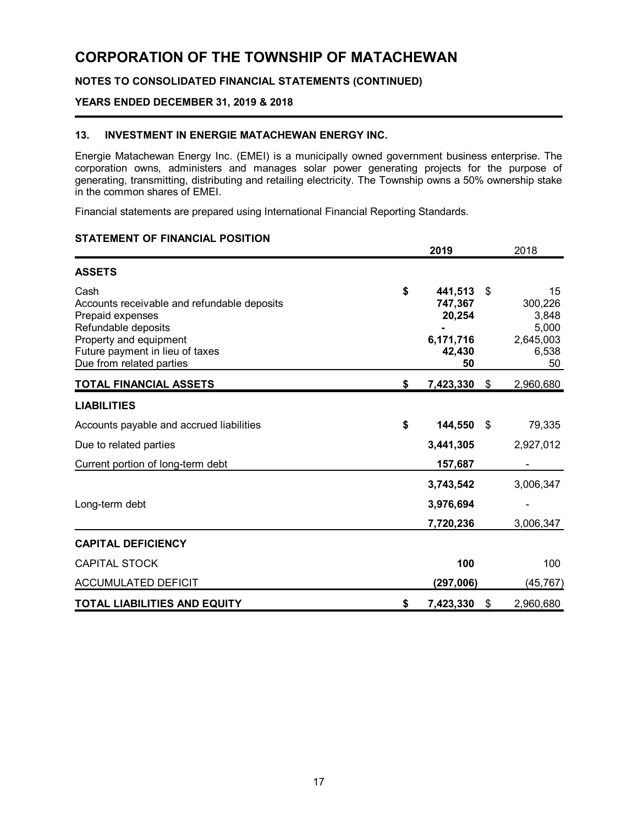## **NOTES TO CONSOLIDATED FINANCIAL STATEMENTS (CONTINUED)**

### **YEARS ENDED DECEMBER 31, 2019 & 2018**

#### **13. INVESTMENT IN ENERGIE MATACHEWAN ENERGY INC.**

Energie Matachewan Energy Inc. (EMEI) is a municipally owned government business enterprise. The corporation owns, administers and manages solar power generating projects for the purpose of generating, transmitting, distributing and retailing electricity. The Township owns a 50% ownership stake in the common shares of EMEI.

Financial statements are prepared using International Financial Reporting Standards.

### **STATEMENT OF FINANCIAL POSITION**

|                                                                                                                                                                                         | 2019                                                            | 2018                                                              |
|-----------------------------------------------------------------------------------------------------------------------------------------------------------------------------------------|-----------------------------------------------------------------|-------------------------------------------------------------------|
| <b>ASSETS</b>                                                                                                                                                                           |                                                                 |                                                                   |
| Cash<br>Accounts receivable and refundable deposits<br>Prepaid expenses<br>Refundable deposits<br>Property and equipment<br>Future payment in lieu of taxes<br>Due from related parties | \$<br>441,513<br>747,367<br>20,254<br>6,171,716<br>42,430<br>50 | \$<br>15<br>300,226<br>3,848<br>5,000<br>2,645,003<br>6,538<br>50 |
| TOTAL FINANCIAL ASSETS                                                                                                                                                                  | \$<br>7,423,330                                                 | \$<br>2,960,680                                                   |
| <b>LIABILITIES</b>                                                                                                                                                                      |                                                                 |                                                                   |
| Accounts payable and accrued liabilities                                                                                                                                                | \$<br>144,550                                                   | \$<br>79,335                                                      |
| Due to related parties                                                                                                                                                                  | 3,441,305                                                       | 2,927,012                                                         |
| Current portion of long-term debt                                                                                                                                                       | 157,687                                                         |                                                                   |
|                                                                                                                                                                                         | 3,743,542                                                       | 3,006,347                                                         |
| Long-term debt                                                                                                                                                                          | 3,976,694                                                       |                                                                   |
|                                                                                                                                                                                         | 7,720,236                                                       | 3,006,347                                                         |
| <b>CAPITAL DEFICIENCY</b>                                                                                                                                                               |                                                                 |                                                                   |
| <b>CAPITAL STOCK</b>                                                                                                                                                                    | 100                                                             | 100                                                               |
| <b>ACCUMULATED DEFICIT</b>                                                                                                                                                              | (297,006)                                                       | (45, 767)                                                         |
| <b>TOTAL LIABILITIES AND EQUITY</b>                                                                                                                                                     | \$<br>7,423,330                                                 | \$<br>2,960,680                                                   |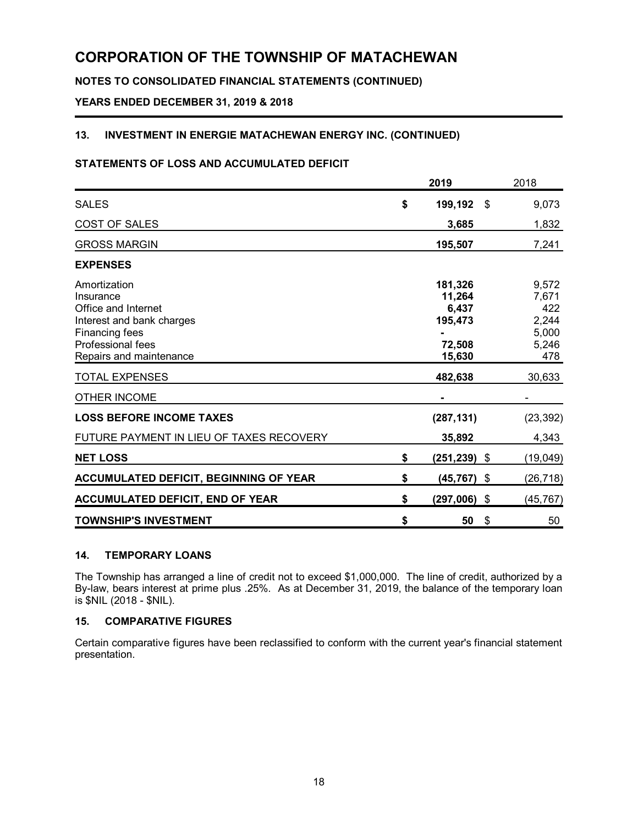**NOTES TO CONSOLIDATED FINANCIAL STATEMENTS (CONTINUED)**

**YEARS ENDED DECEMBER 31, 2019 & 2018**

## **13. INVESTMENT IN ENERGIE MATACHEWAN ENERGY INC. (CONTINUED)**

### **STATEMENTS OF LOSS AND ACCUMULATED DEFICIT**

|                                                                                                                                                 | 2019                                                      | 2018                                                    |
|-------------------------------------------------------------------------------------------------------------------------------------------------|-----------------------------------------------------------|---------------------------------------------------------|
| <b>SALES</b>                                                                                                                                    | \$<br>199,192<br>\$                                       | 9,073                                                   |
| COST OF SALES                                                                                                                                   | 3,685                                                     | 1,832                                                   |
| <b>GROSS MARGIN</b>                                                                                                                             | 195,507                                                   | 7,241                                                   |
| <b>EXPENSES</b>                                                                                                                                 |                                                           |                                                         |
| Amortization<br>Insurance<br>Office and Internet<br>Interest and bank charges<br>Financing fees<br>Professional fees<br>Repairs and maintenance | 181,326<br>11,264<br>6,437<br>195,473<br>72,508<br>15,630 | 9,572<br>7,671<br>422<br>2,244<br>5,000<br>5,246<br>478 |
| <b>TOTAL EXPENSES</b>                                                                                                                           | 482,638                                                   | 30,633                                                  |
| OTHER INCOME                                                                                                                                    |                                                           |                                                         |
| <b>LOSS BEFORE INCOME TAXES</b>                                                                                                                 | (287, 131)                                                | (23, 392)                                               |
| FUTURE PAYMENT IN LIEU OF TAXES RECOVERY                                                                                                        | 35,892                                                    | 4,343                                                   |
| <b>NET LOSS</b>                                                                                                                                 | \$<br>(251,239)<br>\$                                     | (19, 049)                                               |
| <b>ACCUMULATED DEFICIT, BEGINNING OF YEAR</b>                                                                                                   | \$<br>(45,767)<br>\$                                      | (26, 718)                                               |
| <b>ACCUMULATED DEFICIT, END OF YEAR</b>                                                                                                         | \$<br>$(297,006)$ \$                                      | (45, 767)                                               |
| <b>TOWNSHIP'S INVESTMENT</b>                                                                                                                    | \$<br>50<br>\$                                            | 50                                                      |

### **14. TEMPORARY LOANS**

The Township has arranged a line of credit not to exceed \$1,000,000. The line of credit, authorized by a By-law, bears interest at prime plus .25%. As at December 31, 2019, the balance of the temporary loan is \$NIL (2018 - \$NIL).

## **15. COMPARATIVE FIGURES**

Certain comparative figures have been reclassified to conform with the current year's financial statement presentation.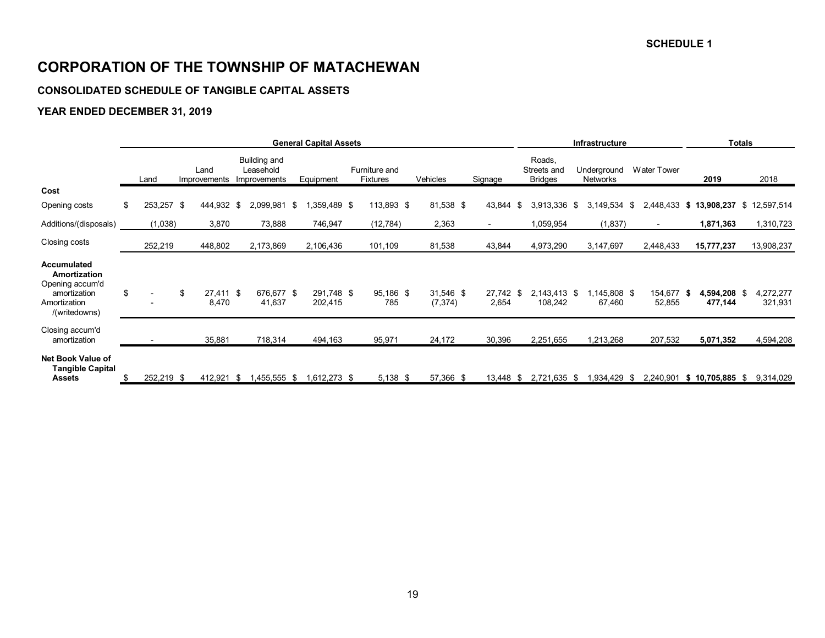### **CONSOLIDATED SCHEDULE OF TANGIBLE CAPITAL ASSETS**

#### **YEAR ENDED DECEMBER 31, 2019**

|                                                                                                        | <b>General Capital Assets</b> |    |                      |                                           |                      |                       |                                  |                  |                       |  |                 |      |                                         | Infrastructure          | <b>Totals</b>           |                    |                            |      |                         |  |                           |
|--------------------------------------------------------------------------------------------------------|-------------------------------|----|----------------------|-------------------------------------------|----------------------|-----------------------|----------------------------------|------------------|-----------------------|--|-----------------|------|-----------------------------------------|-------------------------|-------------------------|--------------------|----------------------------|------|-------------------------|--|---------------------------|
|                                                                                                        | Land                          |    | Land<br>Improvements | Building and<br>Leasehold<br>Improvements |                      | Equipment             | Furniture and<br><b>Fixtures</b> |                  | Vehicles              |  | Signage         |      | Roads,<br>Streets and<br><b>Bridges</b> | Underground<br>Networks |                         | <b>Water Tower</b> |                            | 2019 |                         |  | 2018                      |
| Cost                                                                                                   |                               |    |                      |                                           |                      |                       |                                  |                  |                       |  |                 |      |                                         |                         |                         |                    |                            |      |                         |  |                           |
| Opening costs                                                                                          | \$<br>253,257 \$              |    | 444,932 \$           | 2,099,981 \$                              |                      | 1,359,489 \$          |                                  | 113,893 \$       | 81,538 \$             |  | 43,844          | -\$  | 3,913,336 \$                            |                         | 3,149,534 \$            |                    | 2,448,433                  |      |                         |  | \$13,908,237 \$12,597,514 |
| Additions/(disposals)                                                                                  | (1,038)                       |    | 3,870                |                                           | 73,888               | 746,947               |                                  | (12, 784)        | 2,363                 |  |                 |      | 1,059,954                               |                         | (1, 837)                |                    |                            |      | 1,871,363               |  | 1,310,723                 |
| Closing costs                                                                                          | 252,219                       |    | 448,802              | 2,173,869                                 |                      | 2,106,436             |                                  | 101,109          | 81,538                |  | 43,844          |      | 4,973,290                               |                         | 3,147,697               |                    | 2,448,433                  |      | 15,777,237              |  | 13,908,237                |
| <b>Accumulated</b><br>Amortization<br>Opening accum'd<br>amortization<br>Amortization<br>/(writedowns) | \$<br>$\blacksquare$          | \$ | 27,411 \$<br>8,470   |                                           | 676,677 \$<br>41,637 | 291.748 \$<br>202,415 |                                  | 95,186 \$<br>785 | 31,546 \$<br>(7, 374) |  | 27,742<br>2,654 | - \$ | 2,143,413 \$<br>108,242                 |                         | $,145,808$ \$<br>67,460 |                    | 154,677 \$<br>52,855       |      | 4,594,208 \$<br>477,144 |  | 4,272,277<br>321,931      |
| Closing accum'd<br>amortization                                                                        |                               |    | 35,881               |                                           | 718,314              | 494,163               |                                  | 95,971           | 24,172                |  | 30,396          |      | 2,251,655                               |                         | 1,213,268               |                    | 207,532                    |      | 5,071,352               |  | 4,594,208                 |
| <b>Net Book Value of</b><br><b>Tangible Capital</b><br><b>Assets</b>                                   | 252,219 \$                    |    | 412.921              | - \$                                      | 1,455,555 \$         | 1,612,273 \$          |                                  | $5,138$ \$       | 57,366 \$             |  | 13,448 \$       |      | 2.721.635 \$                            |                         | 934.429 \$              |                    | 2,240,901 \$ 10,705,885 \$ |      |                         |  | 9,314,029                 |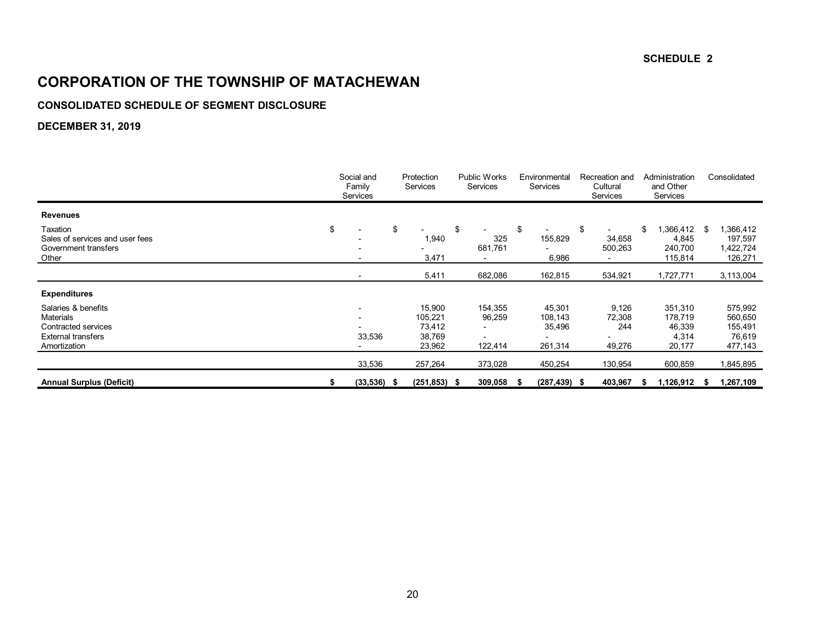## **CONSOLIDATED SCHEDULE OF SEGMENT DISCLOSURE**

## **DECEMBER 31, 2019**

|                                                                                                      | Social and<br>Family<br>Services |                          | Protection<br>Services |                                                 | <b>Public Works</b><br><b>Services</b> |                              |      | Environmental<br>Services              | Recreation and<br>Cultural<br>Services |                                  | Administration<br>and Other<br>Services |                                                 |      | Consolidated                                       |
|------------------------------------------------------------------------------------------------------|----------------------------------|--------------------------|------------------------|-------------------------------------------------|----------------------------------------|------------------------------|------|----------------------------------------|----------------------------------------|----------------------------------|-----------------------------------------|-------------------------------------------------|------|----------------------------------------------------|
| Revenues                                                                                             |                                  |                          |                        |                                                 |                                        |                              |      |                                        |                                        |                                  |                                         |                                                 |      |                                                    |
| Taxation<br>Sales of services and user fees<br>Government transfers<br>Other                         | \$                               | $\overline{\phantom{0}}$ | \$                     | 1,940<br>3,471                                  | \$                                     | 325<br>681,761               | \$   | $\blacksquare$<br>155,829<br>6,986     | \$                                     | 34,658<br>500,263                | \$                                      | 1,366,412<br>4,845<br>240,700<br>115,814        | - \$ | ,366,412<br>197,597<br>1,422,724<br>126,271        |
|                                                                                                      |                                  |                          |                        | 5,411                                           |                                        | 682,086                      |      | 162,815                                |                                        | 534,921                          |                                         | 1,727,771                                       |      | 3,113,004                                          |
| <b>Expenditures</b>                                                                                  |                                  |                          |                        |                                                 |                                        |                              |      |                                        |                                        |                                  |                                         |                                                 |      |                                                    |
| Salaries & benefits<br><b>Materials</b><br>Contracted services<br>External transfers<br>Amortization |                                  | 33,536                   |                        | 15,900<br>105,221<br>73,412<br>38,769<br>23,962 |                                        | 154,355<br>96,259<br>122,414 |      | 45,301<br>108,143<br>35,496<br>261,314 |                                        | 9,126<br>72,308<br>244<br>49,276 |                                         | 351,310<br>178,719<br>46,339<br>4,314<br>20,177 |      | 575,992<br>560,650<br>155,491<br>76,619<br>477,143 |
|                                                                                                      |                                  | 33,536                   |                        | 257,264                                         |                                        | 373,028                      |      | 450,254                                |                                        | 130,954                          |                                         | 600,859                                         |      | ,845,895                                           |
| <b>Annual Surplus (Deficit)</b>                                                                      | \$                               | $(33,536)$ \$            |                        | $(251, 853)$ \$                                 |                                        | 309,058                      | - 55 | $(287, 439)$ \$                        |                                        | 403,967                          | -55                                     | 1,126,912                                       | - 55 | 1,267,109                                          |